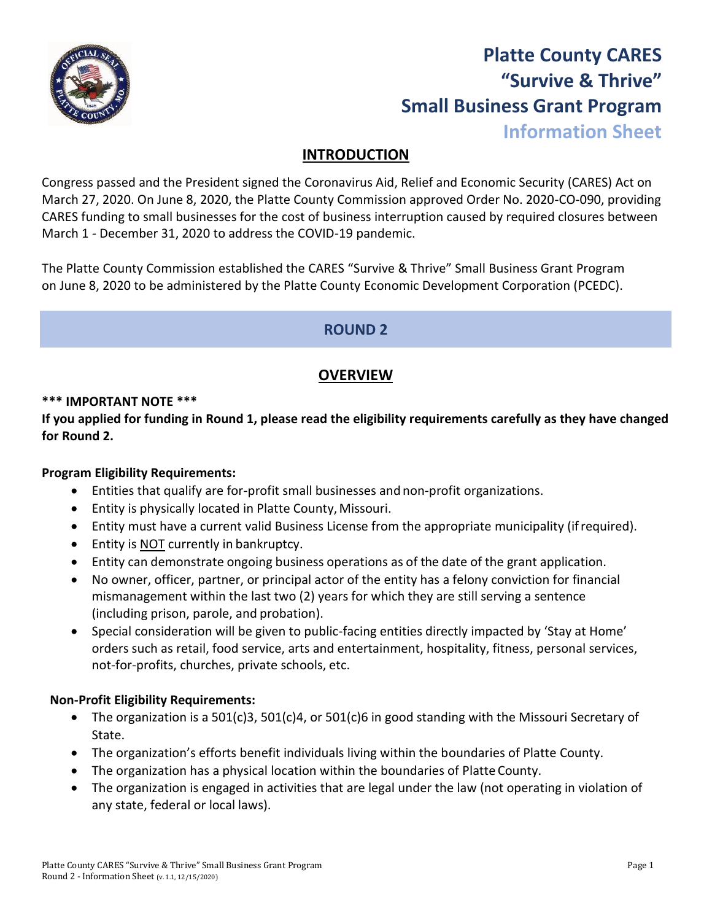

# **Platte County CARES "Survive & Thrive" Small Business Grant Program Information Sheet**

# **INTRODUCTION**

Congress passed and the President signed the Coronavirus Aid, Relief and Economic Security (CARES) Act on March 27, 2020. On June 8, 2020, the Platte County Commission approved Order No. 2020-CO-090, providing CARES funding to small businesses for the cost of business interruption caused by required closures between March 1 - December 31, 2020 to address the COVID-19 pandemic.

The Platte County Commission established the CARES "Survive & Thrive" Small Business Grant Program on June 8, 2020 to be administered by the Platte County Economic Development Corporation (PCEDC).

# **ROUND 2**

# **OVERVIEW**

#### **\*\*\* IMPORTANT NOTE \*\*\***

**If you applied for funding in Round 1, please read the eligibility requirements carefully as they have changed for Round 2.**

# **Program Eligibility Requirements:**

- Entities that qualify are for-profit small businesses and non-profit organizations.
- Entity is physically located in Platte County, Missouri.
- Entity must have a current valid Business License from the appropriate municipality (ifrequired).
- Entity is NOT currently in bankruptcy.
- Entity can demonstrate ongoing business operations as of the date of the grant application.
- No owner, officer, partner, or principal actor of the entity has a felony conviction for financial mismanagement within the last two (2) years for which they are still serving a sentence (including prison, parole, and probation).
- Special consideration will be given to public-facing entities directly impacted by 'Stay at Home' orders such as retail, food service, arts and entertainment, hospitality, fitness, personal services, not-for-profits, churches, private schools, etc.

# **Non-Profit Eligibility Requirements:**

- The organization is a 501(c)3, 501(c)4, or 501(c)6 in good standing with the Missouri Secretary of State.
- The organization's efforts benefit individuals living within the boundaries of Platte County.
- The organization has a physical location within the boundaries of Platte County.
- The organization is engaged in activities that are legal under the law (not operating in violation of any state, federal or local laws).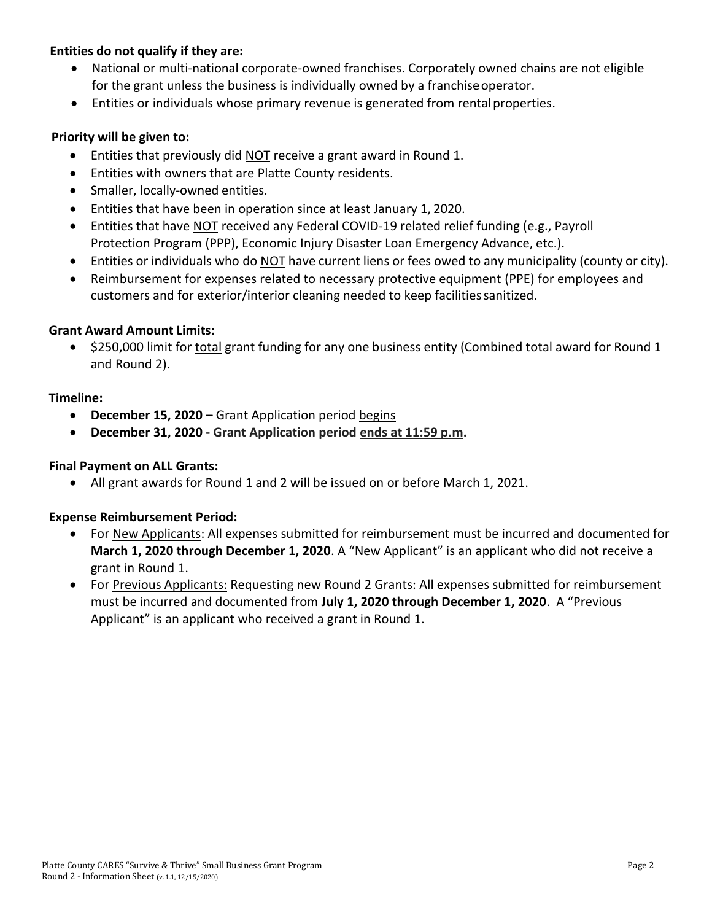# **Entities do not qualify if they are:**

- National or multi-national corporate-owned franchises. Corporately owned chains are not eligible for the grant unless the business is individually owned by a franchiseoperator.
- Entities or individuals whose primary revenue is generated from rental properties.

#### **Priority will be given to:**

- Entities that previously did NOT receive a grant award in Round 1.
- Entities with owners that are Platte County residents.
- Smaller, locally-owned entities.
- Entities that have been in operation since at least January 1, 2020.
- Entities that have NOT received any Federal COVID-19 related relief funding (e.g., Payroll Protection Program (PPP), Economic Injury Disaster Loan Emergency Advance, etc.).
- Entities or individuals who do NOT have current liens or fees owed to any municipality (county or city).
- Reimbursement for expenses related to necessary protective equipment (PPE) for employees and customers and for exterior/interior cleaning needed to keep facilities sanitized.

#### **Grant Award Amount Limits:**

• \$250,000 limit for total grant funding for any one business entity (Combined total award for Round 1 and Round 2).

#### **Timeline:**

- **December 15, 2020 –** Grant Application period begins
- **December 31, 2020 - Grant Application period ends at 11:59 p.m.**

#### **Final Payment on ALL Grants:**

• All grant awards for Round 1 and 2 will be issued on or before March 1, 2021.

#### **Expense Reimbursement Period:**

- For New Applicants: All expenses submitted for reimbursement must be incurred and documented for **March 1, 2020 through December 1, 2020**. A "New Applicant" is an applicant who did not receive a grant in Round 1.
- For Previous Applicants: Requesting new Round 2 Grants: All expenses submitted for reimbursement must be incurred and documented from **July 1, 2020 through December 1, 2020**. A "Previous Applicant" is an applicant who received a grant in Round 1.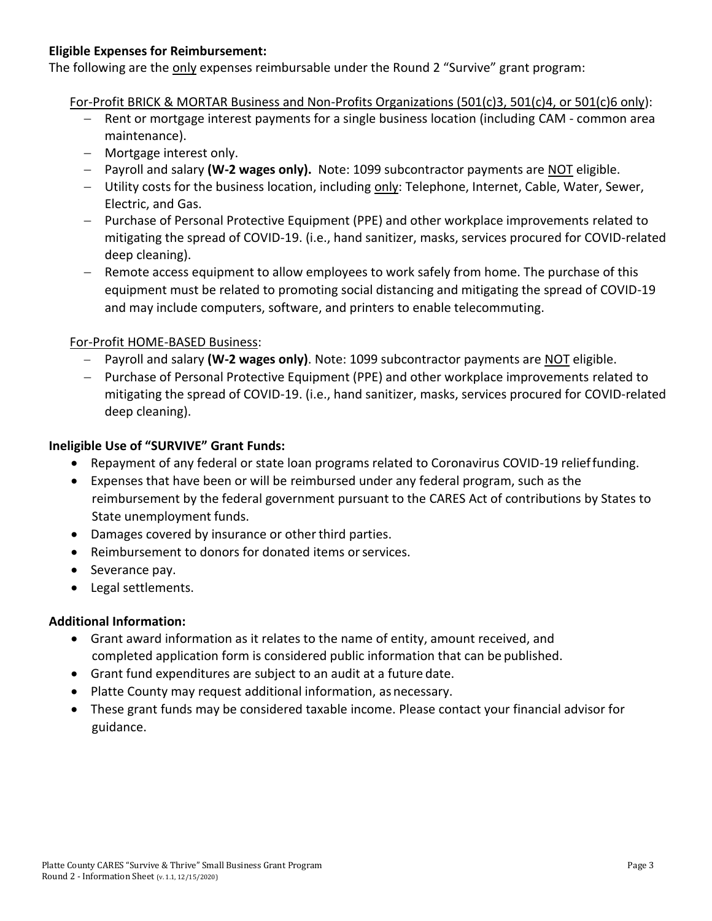## **Eligible Expenses for Reimbursement:**

The following are the only expenses reimbursable under the Round 2 "Survive" grant program:

For-Profit BRICK & MORTAR Business and Non-Profits Organizations (501(c)3, 501(c)4, or 501(c)6 only):

- Rent or mortgage interest payments for a single business location (including CAM common area maintenance).
- − Mortgage interest only.
- − Payroll and salary **(W-2 wages only).** Note: 1099 subcontractor payments are NOT eligible.
- − Utility costs for the business location, including only: Telephone, Internet, Cable, Water, Sewer, Electric, and Gas.
- − Purchase of Personal Protective Equipment (PPE) and other workplace improvements related to mitigating the spread of COVID-19. (i.e., hand sanitizer, masks, services procured for COVID-related deep cleaning).
- − Remote access equipment to allow employees to work safely from home. The purchase of this equipment must be related to promoting social distancing and mitigating the spread of COVID-19 and may include computers, software, and printers to enable telecommuting.

# For-Profit HOME-BASED Business:

- − Payroll and salary **(W-2 wages only)**. Note: 1099 subcontractor payments are NOT eligible.
- − Purchase of Personal Protective Equipment (PPE) and other workplace improvements related to mitigating the spread of COVID-19. (i.e., hand sanitizer, masks, services procured for COVID-related deep cleaning).

# **Ineligible Use of "SURVIVE" Grant Funds:**

- Repayment of any federal or state loan programs related to Coronavirus COVID-19 relieffunding.
- Expenses that have been or will be reimbursed under any federal program, such as the reimbursement by the federal government pursuant to the CARES Act of contributions by States to State unemployment funds.
- Damages covered by insurance or other third parties.
- Reimbursement to donors for donated items or services.
- Severance pay.
- Legal settlements.

# **Additional Information:**

- Grant award information as it relates to the name of entity, amount received, and completed application form is considered public information that can be published.
- Grant fund expenditures are subject to an audit at a future date.
- Platte County may request additional information, as necessary.
- These grant funds may be considered taxable income. Please contact your financial advisor for guidance.